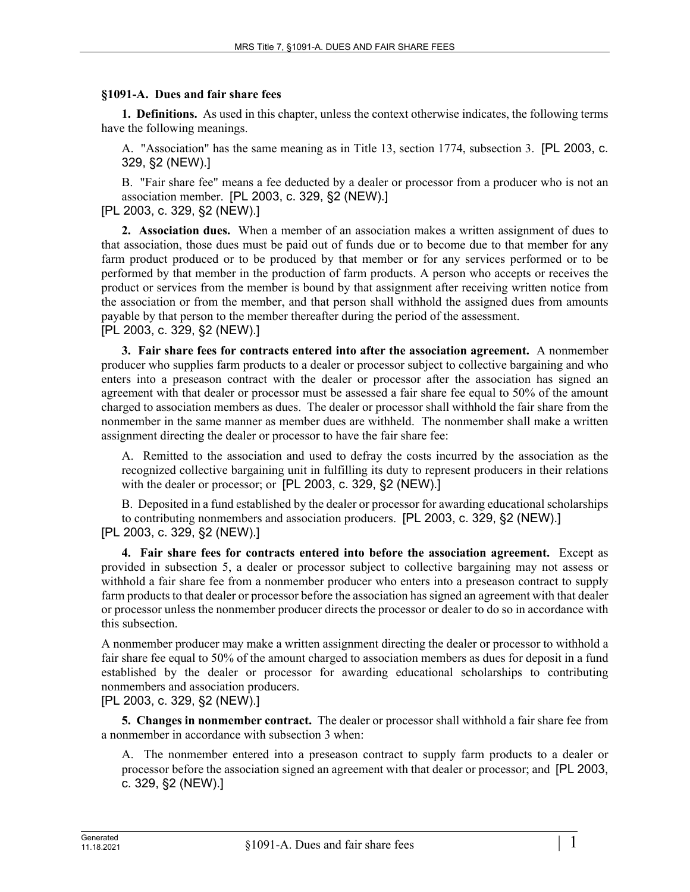## **§1091-A. Dues and fair share fees**

**1. Definitions.** As used in this chapter, unless the context otherwise indicates, the following terms have the following meanings.

A. "Association" has the same meaning as in Title 13, section 1774, subsection 3. [PL 2003, c. 329, §2 (NEW).]

B. "Fair share fee" means a fee deducted by a dealer or processor from a producer who is not an association member. [PL 2003, c. 329, §2 (NEW).]

[PL 2003, c. 329, §2 (NEW).]

**2. Association dues.** When a member of an association makes a written assignment of dues to that association, those dues must be paid out of funds due or to become due to that member for any farm product produced or to be produced by that member or for any services performed or to be performed by that member in the production of farm products. A person who accepts or receives the product or services from the member is bound by that assignment after receiving written notice from the association or from the member, and that person shall withhold the assigned dues from amounts payable by that person to the member thereafter during the period of the assessment. [PL 2003, c. 329, §2 (NEW).]

**3. Fair share fees for contracts entered into after the association agreement.** A nonmember producer who supplies farm products to a dealer or processor subject to collective bargaining and who enters into a preseason contract with the dealer or processor after the association has signed an agreement with that dealer or processor must be assessed a fair share fee equal to 50% of the amount charged to association members as dues. The dealer or processor shall withhold the fair share from the nonmember in the same manner as member dues are withheld. The nonmember shall make a written assignment directing the dealer or processor to have the fair share fee:

A. Remitted to the association and used to defray the costs incurred by the association as the recognized collective bargaining unit in fulfilling its duty to represent producers in their relations with the dealer or processor; or [PL 2003, c. 329, §2 (NEW).]

B. Deposited in a fund established by the dealer or processor for awarding educational scholarships to contributing nonmembers and association producers. [PL 2003, c. 329, §2 (NEW).] [PL 2003, c. 329, §2 (NEW).]

**4. Fair share fees for contracts entered into before the association agreement.** Except as provided in subsection 5, a dealer or processor subject to collective bargaining may not assess or withhold a fair share fee from a nonmember producer who enters into a preseason contract to supply farm products to that dealer or processor before the association has signed an agreement with that dealer or processor unless the nonmember producer directs the processor or dealer to do so in accordance with this subsection.

A nonmember producer may make a written assignment directing the dealer or processor to withhold a fair share fee equal to 50% of the amount charged to association members as dues for deposit in a fund established by the dealer or processor for awarding educational scholarships to contributing nonmembers and association producers.

[PL 2003, c. 329, §2 (NEW).]

**5. Changes in nonmember contract.** The dealer or processor shall withhold a fair share fee from a nonmember in accordance with subsection 3 when:

A. The nonmember entered into a preseason contract to supply farm products to a dealer or processor before the association signed an agreement with that dealer or processor; and [PL 2003, c. 329, §2 (NEW).]